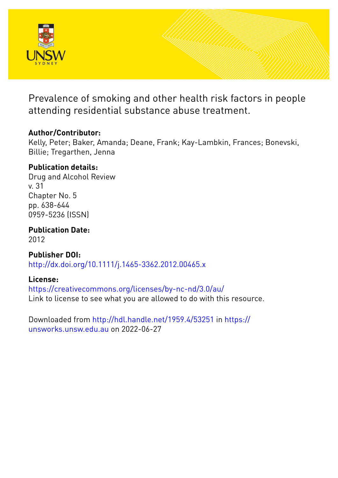

Prevalence of smoking and other health risk factors in people attending residential substance abuse treatment.

# **Author/Contributor:**

Kelly, Peter; Baker, Amanda; Deane, Frank; Kay-Lambkin, Frances; Bonevski, Billie; Tregarthen, Jenna

# **Publication details:**

Drug and Alcohol Review v. 31 Chapter No. 5 pp. 638-644 0959-5236 (ISSN)

**Publication Date:** 2012

**Publisher DOI:** [http://dx.doi.org/10.1111/j.1465-3362.2012.00465.x](http://dx.doi.org/http://dx.doi.org/10.1111/j.1465-3362.2012.00465.x)

## **License:**

<https://creativecommons.org/licenses/by-nc-nd/3.0/au/> Link to license to see what you are allowed to do with this resource.

Downloaded from <http://hdl.handle.net/1959.4/53251> in [https://](https://unsworks.unsw.edu.au) [unsworks.unsw.edu.au](https://unsworks.unsw.edu.au) on 2022-06-27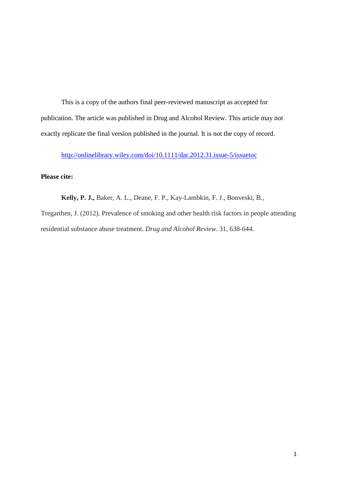This is a copy of the authors final peer-reviewed manuscript as accepted for publication. The article was published in Drug and Alcohol Review. This article may not exactly replicate the final version published in the journal. It is not the copy of record.

<http://onlinelibrary.wiley.com/doi/10.1111/dar.2012.31.issue-5/issuetoc>

### **Please cite:**

**Kelly, P. J.,** Baker, A. L., Deane, F. P., Kay-Lambkin, F. J., Bonveski, B., Tregarthen, J. (2012). Prevalence of smoking and other health risk factors in people attending residential substance abuse treatment. *Drug and Alcohol Review*. 31, 638-644.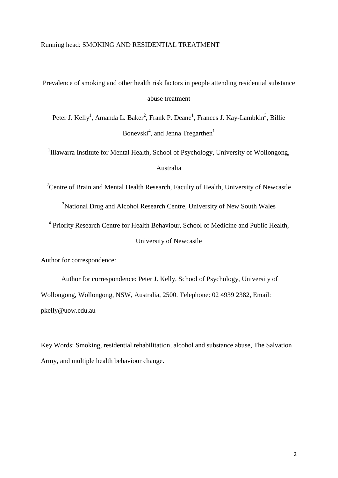Prevalence of smoking and other health risk factors in people attending residential substance abuse treatment

Peter J. Kelly<sup>1</sup>, Amanda L. Baker<sup>2</sup>, Frank P. Deane<sup>1</sup>, Frances J. Kay-Lambkin<sup>3</sup>, Billie Bonevski $^4$ , and Jenna Tregarthen $^1$ 

<sup>1</sup>Illawarra Institute for Mental Health, School of Psychology, University of Wollongong, Australia

<sup>2</sup> Centre of Brain and Mental Health Research, Faculty of Health, University of Newcastle

<sup>3</sup>National Drug and Alcohol Research Centre, University of New South Wales

<sup>4</sup> Priority Research Centre for Health Behaviour, School of Medicine and Public Health, University of Newcastle

Author for correspondence:

Author for correspondence: Peter J. Kelly, School of Psychology, University of Wollongong, Wollongong, NSW, Australia, 2500. Telephone: 02 4939 2382, Email: pkelly@uow.edu.au

Key Words: Smoking, residential rehabilitation, alcohol and substance abuse, The Salvation Army, and multiple health behaviour change.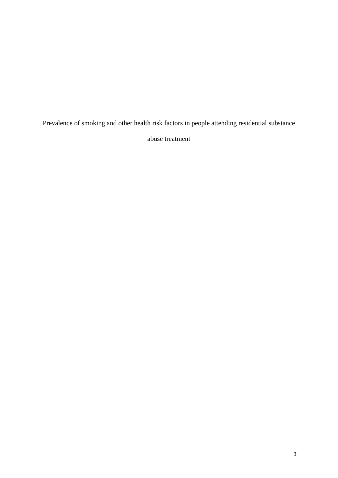Prevalence of smoking and other health risk factors in people attending residential substance

abuse treatment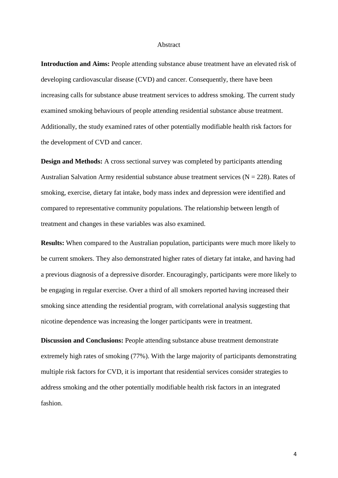#### Abstract

**Introduction and Aims:** People attending substance abuse treatment have an elevated risk of developing cardiovascular disease (CVD) and cancer. Consequently, there have been increasing calls for substance abuse treatment services to address smoking. The current study examined smoking behaviours of people attending residential substance abuse treatment. Additionally, the study examined rates of other potentially modifiable health risk factors for the development of CVD and cancer.

**Design and Methods:** A cross sectional survey was completed by participants attending Australian Salvation Army residential substance abuse treatment services ( $N = 228$ ). Rates of smoking, exercise, dietary fat intake, body mass index and depression were identified and compared to representative community populations. The relationship between length of treatment and changes in these variables was also examined.

**Results:** When compared to the Australian population, participants were much more likely to be current smokers. They also demonstrated higher rates of dietary fat intake, and having had a previous diagnosis of a depressive disorder. Encouragingly, participants were more likely to be engaging in regular exercise. Over a third of all smokers reported having increased their smoking since attending the residential program, with correlational analysis suggesting that nicotine dependence was increasing the longer participants were in treatment.

**Discussion and Conclusions:** People attending substance abuse treatment demonstrate extremely high rates of smoking (77%). With the large majority of participants demonstrating multiple risk factors for CVD, it is important that residential services consider strategies to address smoking and the other potentially modifiable health risk factors in an integrated fashion.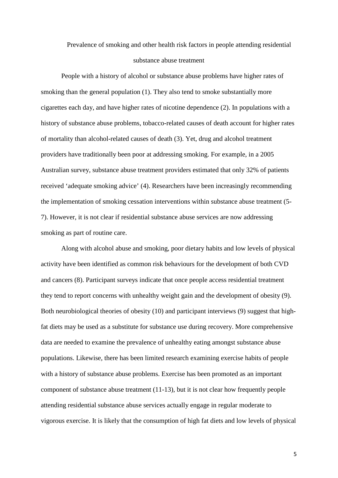# Prevalence of smoking and other health risk factors in people attending residential substance abuse treatment

People with a history of alcohol or substance abuse problems have higher rates of smoking than the general population [\(1\)](#page-14-0). They also tend to smoke substantially more cigarettes each day, and have higher rates of nicotine dependence [\(2\)](#page-14-1). In populations with a history of substance abuse problems, tobacco-related causes of death account for higher rates of mortality than alcohol-related causes of death [\(3\)](#page-14-2). Yet, drug and alcohol treatment providers have traditionally been poor at addressing smoking. For example, in a 2005 Australian survey, substance abuse treatment providers estimated that only 32% of patients received 'adequate smoking advice' [\(4\)](#page-14-3). Researchers have been increasingly recommending the implementation of smoking cessation interventions within substance abuse treatment [\(5-](#page-14-4) [7\)](#page-14-4). However, it is not clear if residential substance abuse services are now addressing smoking as part of routine care.

Along with alcohol abuse and smoking, poor dietary habits and low levels of physical activity have been identified as common risk behaviours for the development of both CVD and cancers [\(8\)](#page-14-5). Participant surveys indicate that once people access residential treatment they tend to report concerns with unhealthy weight gain and the development of obesity [\(9\)](#page-15-0). Both neurobiological theories of obesity [\(10\)](#page-15-1) and participant interviews [\(9\)](#page-15-0) suggest that highfat diets may be used as a substitute for substance use during recovery. More comprehensive data are needed to examine the prevalence of unhealthy eating amongst substance abuse populations. Likewise, there has been limited research examining exercise habits of people with a history of substance abuse problems. Exercise has been promoted as an important component of substance abuse treatment [\(11-13\)](#page-15-2), but it is not clear how frequently people attending residential substance abuse services actually engage in regular moderate to vigorous exercise. It is likely that the consumption of high fat diets and low levels of physical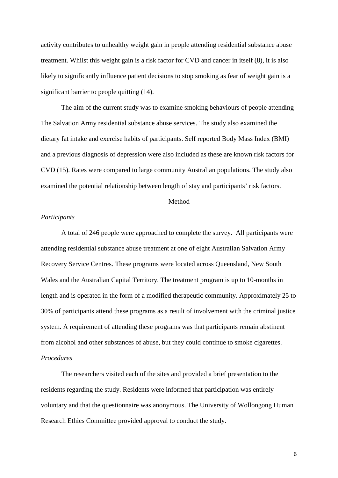activity contributes to unhealthy weight gain in people attending residential substance abuse treatment. Whilst this weight gain is a risk factor for CVD and cancer in itself [\(8\)](#page-14-5), it is also likely to significantly influence patient decisions to stop smoking as fear of weight gain is a significant barrier to people quitting [\(14\)](#page-15-3).

The aim of the current study was to examine smoking behaviours of people attending The Salvation Army residential substance abuse services. The study also examined the dietary fat intake and exercise habits of participants. Self reported Body Mass Index (BMI) and a previous diagnosis of depression were also included as these are known risk factors for CVD [\(15\)](#page-15-4). Rates were compared to large community Australian populations. The study also examined the potential relationship between length of stay and participants' risk factors.

### Method

#### *Participants*

A total of 246 people were approached to complete the survey. All participants were attending residential substance abuse treatment at one of eight Australian Salvation Army Recovery Service Centres. These programs were located across Queensland, New South Wales and the Australian Capital Territory. The treatment program is up to 10-months in length and is operated in the form of a modified therapeutic community. Approximately 25 to 30% of participants attend these programs as a result of involvement with the criminal justice system. A requirement of attending these programs was that participants remain abstinent from alcohol and other substances of abuse, but they could continue to smoke cigarettes. *Procedures*

The researchers visited each of the sites and provided a brief presentation to the residents regarding the study. Residents were informed that participation was entirely voluntary and that the questionnaire was anonymous. The University of Wollongong Human Research Ethics Committee provided approval to conduct the study.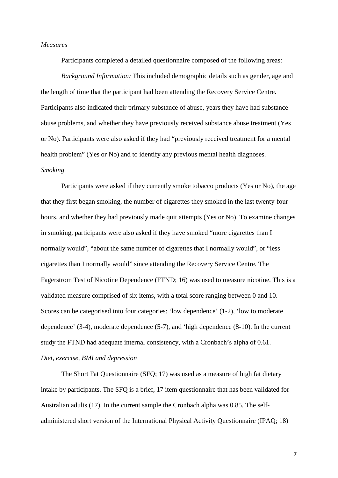#### *Measures*

Participants completed a detailed questionnaire composed of the following areas:

*Background Information:* This included demographic details such as gender, age and the length of time that the participant had been attending the Recovery Service Centre. Participants also indicated their primary substance of abuse, years they have had substance abuse problems, and whether they have previously received substance abuse treatment (Yes or No). Participants were also asked if they had "previously received treatment for a mental health problem" (Yes or No) and to identify any previous mental health diagnoses.

#### *Smoking*

Participants were asked if they currently smoke tobacco products (Yes or No), the age that they first began smoking, the number of cigarettes they smoked in the last twenty-four hours, and whether they had previously made quit attempts (Yes or No). To examine changes in smoking, participants were also asked if they have smoked "more cigarettes than I normally would", "about the same number of cigarettes that I normally would", or "less cigarettes than I normally would" since attending the Recovery Service Centre. The Fagerstrom Test of Nicotine Dependence [\(FTND; 16\)](#page-15-5) was used to measure nicotine. This is a validated measure comprised of six items, with a total score ranging between 0 and 10. Scores can be categorised into four categories: 'low dependence' (1-2), 'low to moderate dependence' (3-4), moderate dependence (5-7), and 'high dependence (8-10). In the current study the FTND had adequate internal consistency, with a Cronbach's alpha of 0.61. *Diet, exercise, BMI and depression*

The Short Fat Questionnaire [\(SFQ; 17\)](#page-15-6) was used as a measure of high fat dietary intake by participants. The SFQ is a brief, 17 item questionnaire that has been validated for Australian adults [\(17\)](#page-15-6). In the current sample the Cronbach alpha was 0.85. The selfadministered short version of the International Physical Activity Questionnaire [\(IPAQ; 18\)](#page-16-0)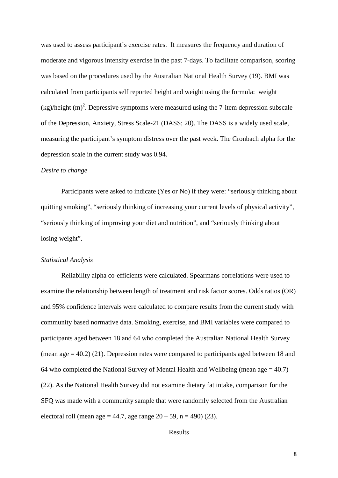was used to assess participant's exercise rates. It measures the frequency and duration of moderate and vigorous intensity exercise in the past 7-days. To facilitate comparison, scoring was based on the procedures used by the Australian National Health Survey [\(19\)](#page-16-1). BMI was calculated from participants self reported height and weight using the formula: weight  $(kg)/$ height  $(m)^2$ . Depressive symptoms were measured using the 7-item depression subscale of the Depression, Anxiety, Stress Scale-21 [\(DASS; 20\)](#page-16-2). The DASS is a widely used scale, measuring the participant's symptom distress over the past week. The Cronbach alpha for the depression scale in the current study was 0.94.

#### *Desire to change*

Participants were asked to indicate (Yes or No) if they were: "seriously thinking about quitting smoking", "seriously thinking of increasing your current levels of physical activity", "seriously thinking of improving your diet and nutrition", and "seriously thinking about losing weight".

#### *Statistical Analysis*

Reliability alpha co-efficients were calculated. Spearmans correlations were used to examine the relationship between length of treatment and risk factor scores. Odds ratios (OR) and 95% confidence intervals were calculated to compare results from the current study with community based normative data. Smoking, exercise, and BMI variables were compared to participants aged between 18 and 64 who completed the Australian National Health Survey (mean age  $= 40.2$ ) [\(21\)](#page-16-3). Depression rates were compared to participants aged between 18 and 64 who completed the National Survey of Mental Health and Wellbeing (mean age  $= 40.7$ ) [\(22\)](#page-16-4). As the National Health Survey did not examine dietary fat intake, comparison for the SFQ was made with a community sample that were randomly selected from the Australian electoral roll (mean age = 44.7, age range  $20 - 59$ , n = 490) [\(23\)](#page-16-5).

Results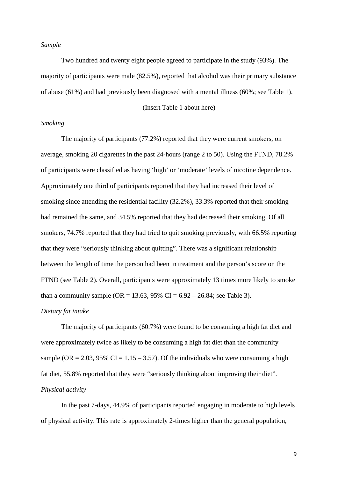#### *Sample*

Two hundred and twenty eight people agreed to participate in the study (93%). The majority of participants were male (82.5%), reported that alcohol was their primary substance of abuse (61%) and had previously been diagnosed with a mental illness (60%; see Table 1).

#### (Insert Table 1 about here)

#### *Smoking*

The majority of participants (77.2%) reported that they were current smokers, on average, smoking 20 cigarettes in the past 24-hours (range 2 to 50). Using the FTND, 78.2% of participants were classified as having 'high' or 'moderate' levels of nicotine dependence. Approximately one third of participants reported that they had increased their level of smoking since attending the residential facility (32.2%), 33.3% reported that their smoking had remained the same, and 34.5% reported that they had decreased their smoking. Of all smokers, 74.7% reported that they had tried to quit smoking previously, with 66.5% reporting that they were "seriously thinking about quitting". There was a significant relationship between the length of time the person had been in treatment and the person's score on the FTND (see Table 2). Overall, participants were approximately 13 times more likely to smoke than a community sample (OR = 13.63, 95% CI =  $6.92 - 26.84$ ; see Table 3).

#### *Dietary fat intake*

The majority of participants (60.7%) were found to be consuming a high fat diet and were approximately twice as likely to be consuming a high fat diet than the community sample (OR = 2.03, 95% CI = 1.15 – 3.57). Of the individuals who were consuming a high fat diet, 55.8% reported that they were "seriously thinking about improving their diet". *Physical activity*

In the past 7-days, 44.9% of participants reported engaging in moderate to high levels of physical activity. This rate is approximately 2-times higher than the general population,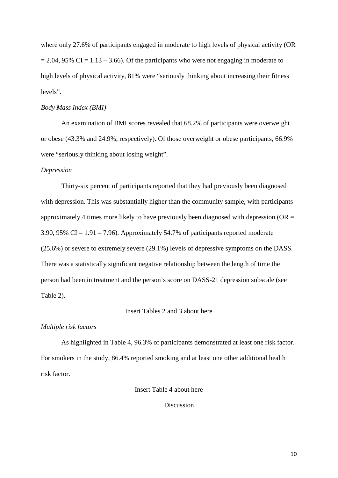where only 27.6% of participants engaged in moderate to high levels of physical activity (OR  $= 2.04$ , 95% CI = 1.13 – 3.66). Of the participants who were not engaging in moderate to high levels of physical activity, 81% were "seriously thinking about increasing their fitness levels".

#### *Body Mass Index (BMI)*

An examination of BMI scores revealed that 68.2% of participants were overweight or obese (43.3% and 24.9%, respectively). Of those overweight or obese participants, 66.9% were "seriously thinking about losing weight".

#### *Depression*

Thirty-six percent of participants reported that they had previously been diagnosed with depression. This was substantially higher than the community sample, with participants approximately 4 times more likely to have previously been diagnosed with depression ( $OR =$ 3.90, 95% CI =  $1.91 - 7.96$ ). Approximately 54.7% of participants reported moderate (25.6%) or severe to extremely severe (29.1%) levels of depressive symptoms on the DASS. There was a statistically significant negative relationship between the length of time the person had been in treatment and the person's score on DASS-21 depression subscale (see Table 2).

#### Insert Tables 2 and 3 about here

#### *Multiple risk factors*

As highlighted in Table 4, 96.3% of participants demonstrated at least one risk factor. For smokers in the study, 86.4% reported smoking and at least one other additional health risk factor.

Insert Table 4 about here

#### Discussion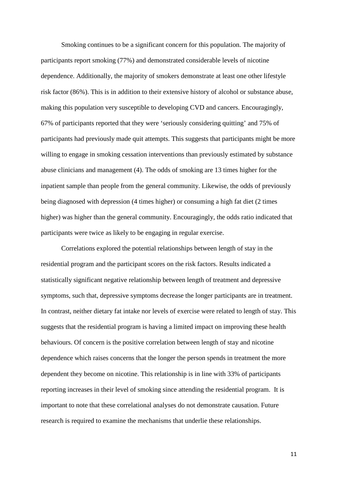Smoking continues to be a significant concern for this population. The majority of participants report smoking (77%) and demonstrated considerable levels of nicotine dependence. Additionally, the majority of smokers demonstrate at least one other lifestyle risk factor (86%). This is in addition to their extensive history of alcohol or substance abuse, making this population very susceptible to developing CVD and cancers. Encouragingly, 67% of participants reported that they were 'seriously considering quitting' and 75% of participants had previously made quit attempts. This suggests that participants might be more willing to engage in smoking cessation interventions than previously estimated by substance abuse clinicians and management [\(4\)](#page-14-3). The odds of smoking are 13 times higher for the inpatient sample than people from the general community. Likewise, the odds of previously being diagnosed with depression (4 times higher) or consuming a high fat diet (2 times higher) was higher than the general community. Encouragingly, the odds ratio indicated that participants were twice as likely to be engaging in regular exercise.

Correlations explored the potential relationships between length of stay in the residential program and the participant scores on the risk factors. Results indicated a statistically significant negative relationship between length of treatment and depressive symptoms, such that, depressive symptoms decrease the longer participants are in treatment. In contrast, neither dietary fat intake nor levels of exercise were related to length of stay. This suggests that the residential program is having a limited impact on improving these health behaviours. Of concern is the positive correlation between length of stay and nicotine dependence which raises concerns that the longer the person spends in treatment the more dependent they become on nicotine. This relationship is in line with 33% of participants reporting increases in their level of smoking since attending the residential program. It is important to note that these correlational analyses do not demonstrate causation. Future research is required to examine the mechanisms that underlie these relationships.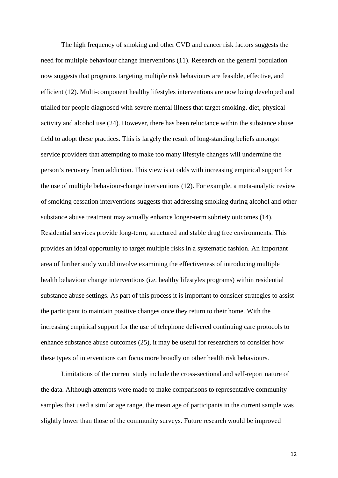The high frequency of smoking and other CVD and cancer risk factors suggests the need for multiple behaviour change interventions (11). Research on the general population now suggests that programs targeting multiple risk behaviours are feasible, effective, and efficient (12). Multi-component healthy lifestyles interventions are now being developed and trialled for people diagnosed with severe mental illness that target smoking, diet, physical activity and alcohol use [\(24\)](#page-16-6). However, there has been reluctance within the substance abuse field to adopt these practices. This is largely the result of long-standing beliefs amongst service providers that attempting to make too many lifestyle changes will undermine the person's recovery from addiction. This view is at odds with increasing empirical support for the use of multiple behaviour-change interventions (12). For example, a meta-analytic review of smoking cessation interventions suggests that addressing smoking during alcohol and other substance abuse treatment may actually enhance longer-term sobriety outcomes (14). Residential services provide long-term, structured and stable drug free environments. This provides an ideal opportunity to target multiple risks in a systematic fashion. An important area of further study would involve examining the effectiveness of introducing multiple health behaviour change interventions (i.e. healthy lifestyles programs) within residential substance abuse settings. As part of this process it is important to consider strategies to assist the participant to maintain positive changes once they return to their home. With the increasing empirical support for the use of telephone delivered continuing care protocols to enhance substance abuse outcomes [\(25\)](#page-16-7), it may be useful for researchers to consider how these types of interventions can focus more broadly on other health risk behaviours.

Limitations of the current study include the cross-sectional and self-report nature of the data. Although attempts were made to make comparisons to representative community samples that used a similar age range, the mean age of participants in the current sample was slightly lower than those of the community surveys. Future research would be improved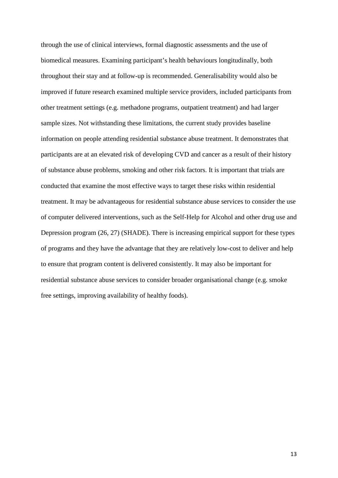through the use of clinical interviews, formal diagnostic assessments and the use of biomedical measures. Examining participant's health behaviours longitudinally, both throughout their stay and at follow-up is recommended. Generalisability would also be improved if future research examined multiple service providers, included participants from other treatment settings (e.g. methadone programs, outpatient treatment) and had larger sample sizes. Not withstanding these limitations, the current study provides baseline information on people attending residential substance abuse treatment. It demonstrates that participants are at an elevated risk of developing CVD and cancer as a result of their history of substance abuse problems, smoking and other risk factors. It is important that trials are conducted that examine the most effective ways to target these risks within residential treatment. It may be advantageous for residential substance abuse services to consider the use of computer delivered interventions, such as the Self-Help for Alcohol and other drug use and Depression program [\(26,](#page-16-8) [27\)](#page-17-0) (SHADE). There is increasing empirical support for these types of programs and they have the advantage that they are relatively low-cost to deliver and help to ensure that program content is delivered consistently. It may also be important for residential substance abuse services to consider broader organisational change (e.g. smoke free settings, improving availability of healthy foods).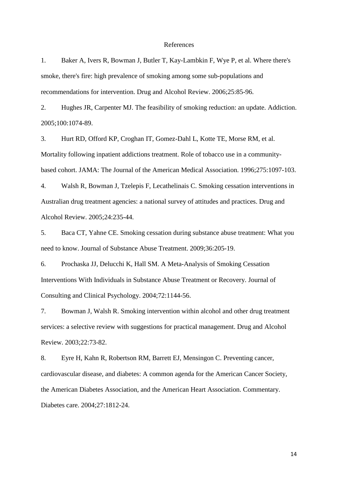#### References

<span id="page-14-0"></span>1. Baker A, Ivers R, Bowman J, Butler T, Kay-Lambkin F, Wye P, et al. Where there's smoke, there's fire: high prevalence of smoking among some sub-populations and recommendations for intervention. Drug and Alcohol Review. 2006;25:85-96.

<span id="page-14-1"></span>2. Hughes JR, Carpenter MJ. The feasibility of smoking reduction: an update. Addiction. 2005;100:1074-89.

<span id="page-14-2"></span>3. Hurt RD, Offord KP, Croghan IT, Gomez-Dahl L, Kotte TE, Morse RM, et al. Mortality following inpatient addictions treatment. Role of tobacco use in a communitybased cohort. JAMA: The Journal of the American Medical Association. 1996;275:1097-103.

<span id="page-14-3"></span>4. Walsh R, Bowman J, Tzelepis F, Lecathelinais C. Smoking cessation interventions in Australian drug treatment agencies: a national survey of attitudes and practices. Drug and Alcohol Review. 2005;24:235-44.

<span id="page-14-4"></span>5. Baca CT, Yahne CE. Smoking cessation during substance abuse treatment: What you need to know. Journal of Substance Abuse Treatment. 2009;36:205-19.

6. Prochaska JJ, Delucchi K, Hall SM. A Meta-Analysis of Smoking Cessation Interventions With Individuals in Substance Abuse Treatment or Recovery. Journal of Consulting and Clinical Psychology. 2004;72:1144-56.

7. Bowman J, Walsh R. Smoking intervention within alcohol and other drug treatment services: a selective review with suggestions for practical management. Drug and Alcohol Review. 2003;22:73-82.

<span id="page-14-5"></span>8. Eyre H, Kahn R, Robertson RM, Barrett EJ, Mensingon C. Preventing cancer, cardiovascular disease, and diabetes: A common agenda for the American Cancer Society, the American Diabetes Association, and the American Heart Association. Commentary. Diabetes care. 2004;27:1812-24.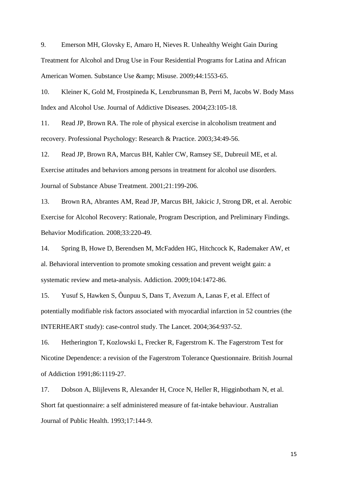<span id="page-15-0"></span>9. Emerson MH, Glovsky E, Amaro H, Nieves R. Unhealthy Weight Gain During Treatment for Alcohol and Drug Use in Four Residential Programs for Latina and African American Women. Substance Use & amp; Misuse. 2009;44:1553-65.

<span id="page-15-1"></span>10. Kleiner K, Gold M, Frostpineda K, Lenzbrunsman B, Perri M, Jacobs W. Body Mass Index and Alcohol Use. Journal of Addictive Diseases. 2004;23:105-18.

<span id="page-15-2"></span>11. Read JP, Brown RA. The role of physical exercise in alcoholism treatment and recovery. Professional Psychology: Research & Practice. 2003;34:49-56.

12. Read JP, Brown RA, Marcus BH, Kahler CW, Ramsey SE, Dubreuil ME, et al. Exercise attitudes and behaviors among persons in treatment for alcohol use disorders. Journal of Substance Abuse Treatment. 2001;21:199-206.

13. Brown RA, Abrantes AM, Read JP, Marcus BH, Jakicic J, Strong DR, et al. Aerobic Exercise for Alcohol Recovery: Rationale, Program Description, and Preliminary Findings. Behavior Modification. 2008;33:220-49.

<span id="page-15-3"></span>14. Spring B, Howe D, Berendsen M, McFadden HG, Hitchcock K, Rademaker AW, et al. Behavioral intervention to promote smoking cessation and prevent weight gain: a systematic review and meta-analysis. Addiction. 2009;104:1472-86.

<span id="page-15-4"></span>15. Yusuf S, Hawken S, Ôunpuu S, Dans T, Avezum A, Lanas F, et al. Effect of potentially modifiable risk factors associated with myocardial infarction in 52 countries (the INTERHEART study): case-control study. The Lancet. 2004;364:937-52.

<span id="page-15-5"></span>16. Hetherington T, Kozlowski L, Frecker R, Fagerstrom K. The Fagerstrom Test for Nicotine Dependence: a revision of the Fagerstrom Tolerance Questionnaire. British Journal of Addiction 1991;86:1119-27.

<span id="page-15-6"></span>17. Dobson A, Blijlevens R, Alexander H, Croce N, Heller R, Higginbotham N, et al. Short fat questionnaire: a self administered measure of fat-intake behaviour. Australian Journal of Public Health. 1993;17:144-9.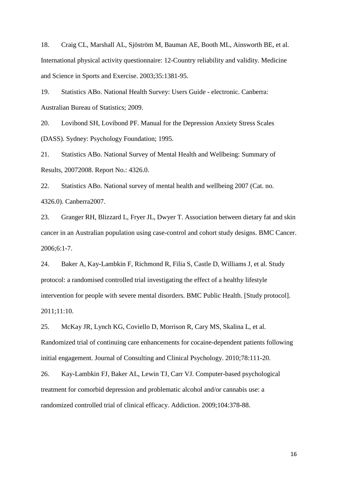<span id="page-16-0"></span>18. Craig CL, Marshall AL, Sjöström M, Bauman AE, Booth ML, Ainsworth BE, et al. International physical activity questionnaire: 12-Country reliability and validity. Medicine and Science in Sports and Exercise. 2003;35:1381-95.

<span id="page-16-1"></span>19. Statistics ABo. National Health Survey: Users Guide - electronic. Canberra: Australian Bureau of Statistics; 2009.

<span id="page-16-2"></span>20. Lovibond SH, Lovibond PF. Manual for the Depression Anxiety Stress Scales (DASS). Sydney: Psychology Foundation; 1995.

<span id="page-16-3"></span>21. Statistics ABo. National Survey of Mental Health and Wellbeing: Summary of Results, 20072008. Report No.: 4326.0.

<span id="page-16-4"></span>22. Statistics ABo. National survey of mental health and wellbeing 2007 (Cat. no. 4326.0). Canberra2007.

<span id="page-16-5"></span>23. Granger RH, Blizzard L, Fryer JL, Dwyer T. Association between dietary fat and skin cancer in an Australian population using case-control and cohort study designs. BMC Cancer. 2006;6:1-7.

<span id="page-16-6"></span>24. Baker A, Kay-Lambkin F, Richmond R, Filia S, Castle D, Williams J, et al. Study protocol: a randomised controlled trial investigating the effect of a healthy lifestyle intervention for people with severe mental disorders. BMC Public Health. [Study protocol]. 2011;11:10.

<span id="page-16-7"></span>25. McKay JR, Lynch KG, Coviello D, Morrison R, Cary MS, Skalina L, et al. Randomized trial of continuing care enhancements for cocaine-dependent patients following initial engagement. Journal of Consulting and Clinical Psychology. 2010;78:111-20.

<span id="page-16-8"></span>26. Kay-Lambkin FJ, Baker AL, Lewin TJ, Carr VJ. Computer-based psychological treatment for comorbid depression and problematic alcohol and/or cannabis use: a randomized controlled trial of clinical efficacy. Addiction. 2009;104:378-88.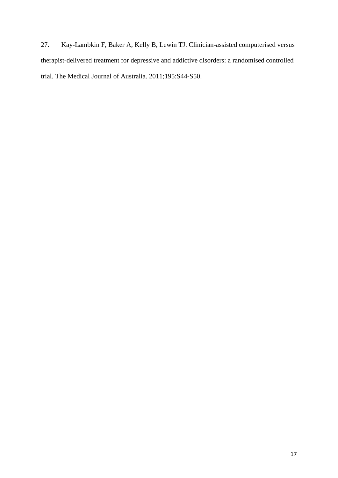<span id="page-17-0"></span>27. Kay-Lambkin F, Baker A, Kelly B, Lewin TJ. Clinician-assisted computerised versus therapist-delivered treatment for depressive and addictive disorders: a randomised controlled trial. The Medical Journal of Australia. 2011;195:S44-S50.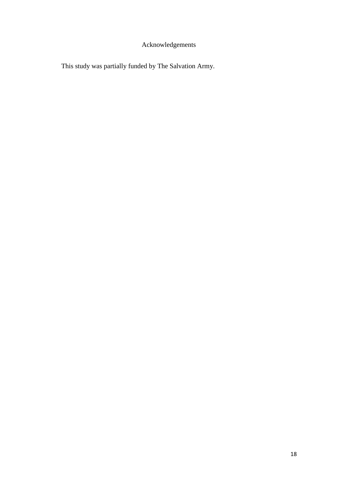# Acknowledgements

This study was partially funded by The Salvation Army.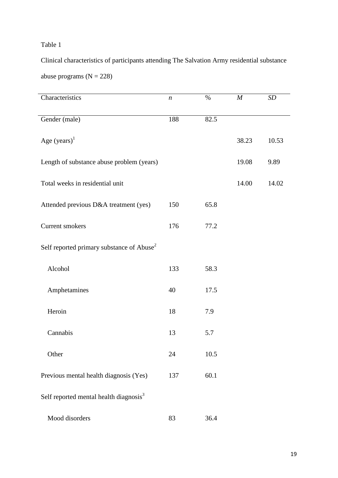### Table 1

Clinical characteristics of participants attending The Salvation Army residential substance abuse programs  $(N = 228)$ 

| Characteristics                                       | $\boldsymbol{n}$ | $\%$ | $\boldsymbol{M}$ | SD    |
|-------------------------------------------------------|------------------|------|------------------|-------|
| Gender (male)                                         | 188              | 82.5 |                  |       |
| Age $(years)^1$                                       |                  |      | 38.23            | 10.53 |
| Length of substance abuse problem (years)             |                  |      | 19.08            | 9.89  |
| Total weeks in residential unit                       |                  |      | 14.00            | 14.02 |
| Attended previous D&A treatment (yes)                 | 150              | 65.8 |                  |       |
| Current smokers                                       | 176              | 77.2 |                  |       |
| Self reported primary substance of Abuse <sup>2</sup> |                  |      |                  |       |
| Alcohol                                               | 133              | 58.3 |                  |       |
| Amphetamines                                          | 40               | 17.5 |                  |       |
| Heroin                                                | 18               | 7.9  |                  |       |
| Cannabis                                              | 13               | 5.7  |                  |       |
| Other                                                 | 24               | 10.5 |                  |       |
| Previous mental health diagnosis (Yes)                | 137              | 60.1 |                  |       |
| Self reported mental health diagnosis <sup>3</sup>    |                  |      |                  |       |
| Mood disorders                                        | 83               | 36.4 |                  |       |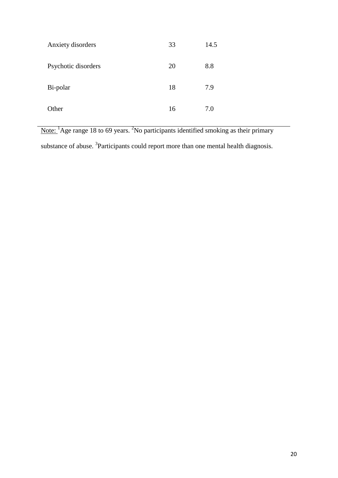| Anxiety disorders   | 33 | 14.5 |
|---------------------|----|------|
| Psychotic disorders | 20 | 8.8  |
| Bi-polar            | 18 | 7.9  |
| Other               | 16 | 7.0  |

Note: <sup>1</sup>Age range 18 to 69 years. <sup>2</sup>No participants identified smoking as their primary substance of abuse. <sup>3</sup>Participants could report more than one mental health diagnosis.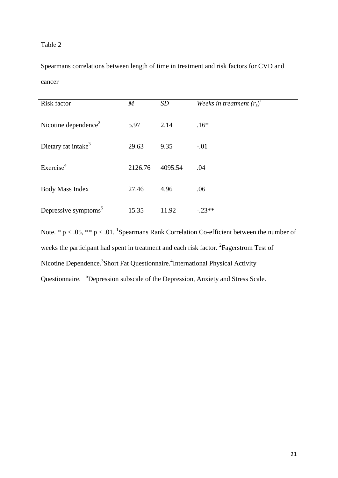Table 2

Spearmans correlations between length of time in treatment and risk factors for CVD and cancer

| Risk factor                      | $\boldsymbol{M}$ | SD      | Weeks in treatment $(r_s)^1$ |
|----------------------------------|------------------|---------|------------------------------|
| Nicotine dependence <sup>2</sup> | 5.97             | 2.14    | $.16*$                       |
| Dietary fat intake <sup>3</sup>  | 29.63            | 9.35    | $-.01$                       |
| Exercise <sup>4</sup>            | 2126.76          | 4095.54 | .04                          |
| Body Mass Index                  | 27.46            | 4.96    | .06                          |
| Depressive symptoms <sup>5</sup> | 15.35            | 11.92   | $-.23**$                     |

Note.  $* p < .05$ ,  $** p < .01$ . <sup>1</sup>Spearmans Rank Correlation Co-efficient between the number of weeks the participant had spent in treatment and each risk factor. <sup>2</sup> Fagerstrom Test of Nicotine Dependence.<sup>3</sup> Short Fat Questionnaire.<sup>4</sup> International Physical Activity Questionnaire. <sup>5</sup>Depression subscale of the Depression, Anxiety and Stress Scale.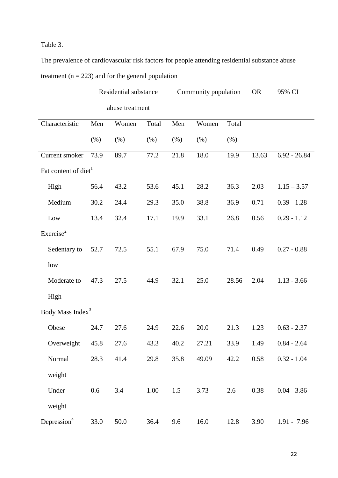## Table 3.

The prevalence of cardiovascular risk factors for people attending residential substance abuse treatment ( $n = 223$ ) and for the general population

|                                  |      | Residential substance |       |      | Community population |       | <b>OR</b> | 95% CI         |
|----------------------------------|------|-----------------------|-------|------|----------------------|-------|-----------|----------------|
|                                  |      | abuse treatment       |       |      |                      |       |           |                |
| Characteristic                   | Men  | Women                 | Total | Men  | Women                | Total |           |                |
|                                  | (% ) | (% )                  | (% )  | (% ) | (% )                 | (% )  |           |                |
| Current smoker                   | 73.9 | 89.7                  | 77.2  | 21.8 | 18.0                 | 19.9  | 13.63     | $6.92 - 26.84$ |
| Fat content of diet <sup>1</sup> |      |                       |       |      |                      |       |           |                |
| High                             | 56.4 | 43.2                  | 53.6  | 45.1 | 28.2                 | 36.3  | 2.03      | $1.15 - 3.57$  |
| Medium                           | 30.2 | 24.4                  | 29.3  | 35.0 | 38.8                 | 36.9  | 0.71      | $0.39 - 1.28$  |
| Low                              | 13.4 | 32.4                  | 17.1  | 19.9 | 33.1                 | 26.8  | 0.56      | $0.29 - 1.12$  |
| Exercise <sup>2</sup>            |      |                       |       |      |                      |       |           |                |
| Sedentary to                     | 52.7 | 72.5                  | 55.1  | 67.9 | 75.0                 | 71.4  | 0.49      | $0.27 - 0.88$  |
| low                              |      |                       |       |      |                      |       |           |                |
| Moderate to                      | 47.3 | 27.5                  | 44.9  | 32.1 | 25.0                 | 28.56 | 2.04      | $1.13 - 3.66$  |
| High                             |      |                       |       |      |                      |       |           |                |
| Body Mass Index <sup>3</sup>     |      |                       |       |      |                      |       |           |                |
| Obese                            | 24.7 | 27.6                  | 24.9  | 22.6 | 20.0                 | 21.3  | 1.23      | $0.63 - 2.37$  |
| Overweight                       | 45.8 | 27.6                  | 43.3  | 40.2 | 27.21                | 33.9  | 1.49      | $0.84 - 2.64$  |
| Normal                           | 28.3 | 41.4                  | 29.8  | 35.8 | 49.09                | 42.2  | 0.58      | $0.32 - 1.04$  |
| weight                           |      |                       |       |      |                      |       |           |                |
| Under                            | 0.6  | 3.4                   | 1.00  | 1.5  | 3.73                 | 2.6   | 0.38      | $0.04 - 3.86$  |
| weight                           |      |                       |       |      |                      |       |           |                |
| Depression <sup>4</sup>          | 33.0 | 50.0                  | 36.4  | 9.6  | 16.0                 | 12.8  | 3.90      | $1.91 - 7.96$  |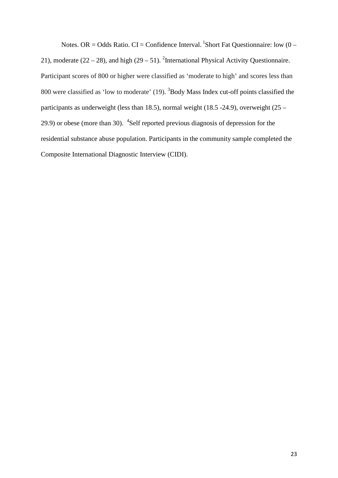Notes. OR = Odds Ratio. CI = Confidence Interval. <sup>1</sup>Short Fat Questionnaire: low  $(0 -$ 21), moderate  $(22 – 28)$ , and high  $(29 – 51)$ . <sup>2</sup>International Physical Activity Questionnaire. Participant scores of 800 or higher were classified as 'moderate to high' and scores less than 800 were classified as 'low to moderate'  $(19)$ . <sup>3</sup>Body Mass Index cut-off points classified the participants as underweight (less than 18.5), normal weight (18.5 -24.9), overweight (25 – 29.9) or obese (more than 30).  $\mathrm{^{4}SeIf}$  reported previous diagnosis of depression for the residential substance abuse population. Participants in the community sample completed the Composite International Diagnostic Interview (CIDI).